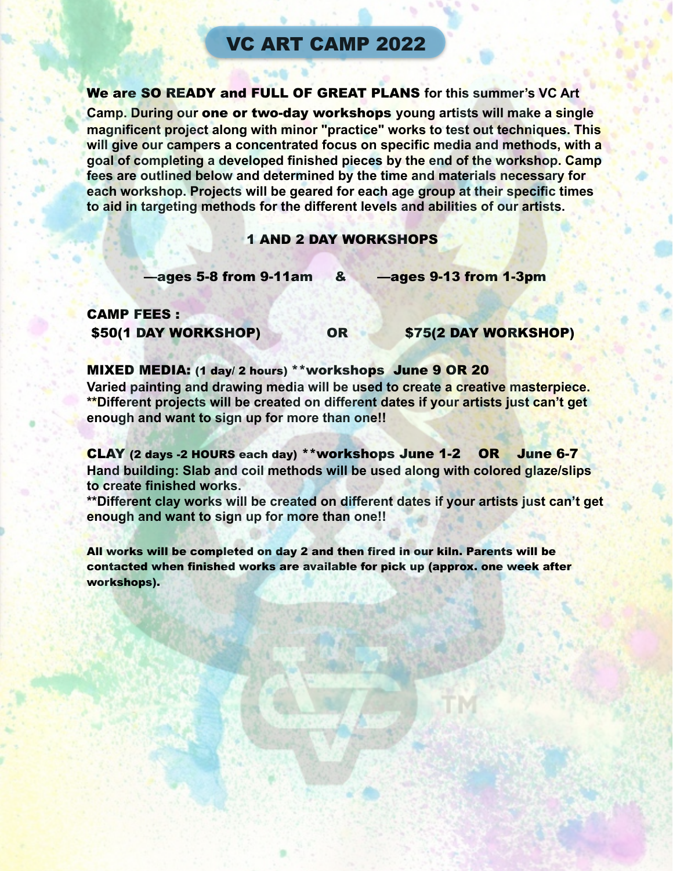# VC ART CAMP 2022

We are SO READY and FULL OF GREAT PLANS **for this summer's VC Art** 

**Camp. During our** one or two-day workshops **young artists will make a single magnificent project along with minor "practice" works to test out techniques. This will give our campers a concentrated focus on specific media and methods, with a goal of completing a developed finished pieces by the end of the workshop. Camp fees are outlined below and determined by the time and materials necessary for each workshop. Projects will be geared for each age group at their specific times to aid in targeting methods for the different levels and abilities of our artists.** 

## 1 AND 2 DAY WORKSHOPS

—ages 5-8 from 9-11am & —ages 9-13 from 1-3pm

## CAMP FEES : \$50(1 DAY WORKSHOP) OR \$75(2 DAY WORKSHOP)

## MIXED MEDIA: (1 day/ 2 hours) \*\*workshops June 9 OR 20

**Varied painting and drawing media will be used to create a creative masterpiece. \*\*Different projects will be created on different dates if your artists just can't get enough and want to sign up for more than one!!** 

CLAY (2 days -2 HOURS each day) \*\*workshops June 1-2 OR June 6-7 **Hand building: Slab and coil methods will be used along with colored glaze/slips to create finished works.** 

**\*\*Different clay works will be created on different dates if your artists just can't get enough and want to sign up for more than one!!** 

All works will be completed on day 2 and then fired in our kiln. Parents will be contacted when finished works are available for pick up (approx. one week after workshops).